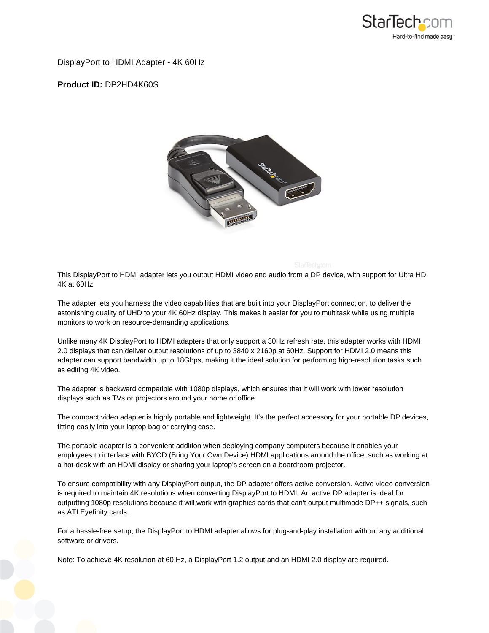

DisplayPort to HDMI Adapter - 4K 60Hz

**Product ID:** DP2HD4K60S



This DisplayPort to HDMI adapter lets you output HDMI video and audio from a DP device, with support for Ultra HD 4K at 60Hz.

The adapter lets you harness the video capabilities that are built into your DisplayPort connection, to deliver the astonishing quality of UHD to your 4K 60Hz display. This makes it easier for you to multitask while using multiple monitors to work on resource-demanding applications.

Unlike many 4K DisplayPort to HDMI adapters that only support a 30Hz refresh rate, this adapter works with HDMI 2.0 displays that can deliver output resolutions of up to 3840 x 2160p at 60Hz. Support for HDMI 2.0 means this adapter can support bandwidth up to 18Gbps, making it the ideal solution for performing high-resolution tasks such as editing 4K video.

The adapter is backward compatible with 1080p displays, which ensures that it will work with lower resolution displays such as TVs or projectors around your home or office.

The compact video adapter is highly portable and lightweight. It's the perfect accessory for your portable DP devices, fitting easily into your laptop bag or carrying case.

The portable adapter is a convenient addition when deploying company computers because it enables your employees to interface with BYOD (Bring Your Own Device) HDMI applications around the office, such as working at a hot-desk with an HDMI display or sharing your laptop's screen on a boardroom projector.

To ensure compatibility with any DisplayPort output, the DP adapter offers active conversion. Active video conversion is required to maintain 4K resolutions when converting DisplayPort to HDMI. An active DP adapter is ideal for outputting 1080p resolutions because it will work with graphics cards that can't output multimode DP++ signals, such as ATI Eyefinity cards.

For a hassle-free setup, the DisplayPort to HDMI adapter allows for plug-and-play installation without any additional software or drivers.

Note: To achieve 4K resolution at 60 Hz, a DisplayPort 1.2 output and an HDMI 2.0 display are required.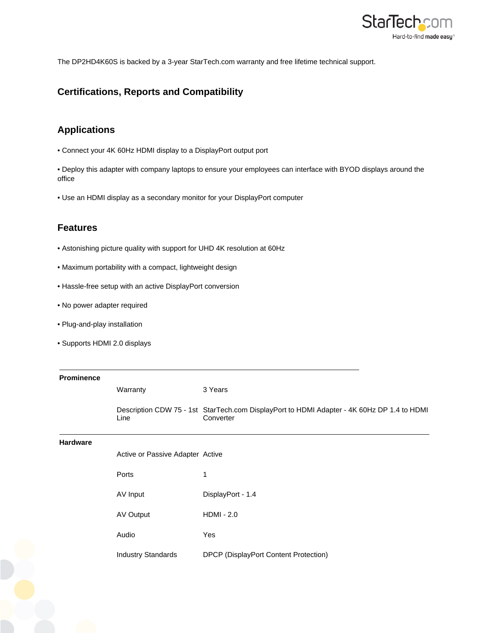

The DP2HD4K60S is backed by a 3-year StarTech.com warranty and free lifetime technical support.

## **Certifications, Reports and Compatibility**

## **Applications**

• Connect your 4K 60Hz HDMI display to a DisplayPort output port

• Deploy this adapter with company laptops to ensure your employees can interface with BYOD displays around the office

• Use an HDMI display as a secondary monitor for your DisplayPort computer

## **Features**

- Astonishing picture quality with support for UHD 4K resolution at 60Hz
- Maximum portability with a compact, lightweight design
- Hassle-free setup with an active DisplayPort conversion
- No power adapter required
- Plug-and-play installation
- Supports HDMI 2.0 displays

| Prominence      |                                  |                                                                                                         |
|-----------------|----------------------------------|---------------------------------------------------------------------------------------------------------|
|                 | Warranty                         | 3 Years                                                                                                 |
|                 | Line                             | Description CDW 75 - 1st StarTech.com DisplayPort to HDMI Adapter - 4K 60Hz DP 1.4 to HDMI<br>Converter |
| <b>Hardware</b> |                                  |                                                                                                         |
|                 | Active or Passive Adapter Active |                                                                                                         |
|                 | Ports                            | 1                                                                                                       |
|                 | AV Input                         | DisplayPort - 1.4                                                                                       |
|                 | AV Output                        | $HDMI - 2.0$                                                                                            |
|                 | Audio                            | Yes                                                                                                     |
|                 | <b>Industry Standards</b>        | DPCP (DisplayPort Content Protection)                                                                   |
|                 |                                  |                                                                                                         |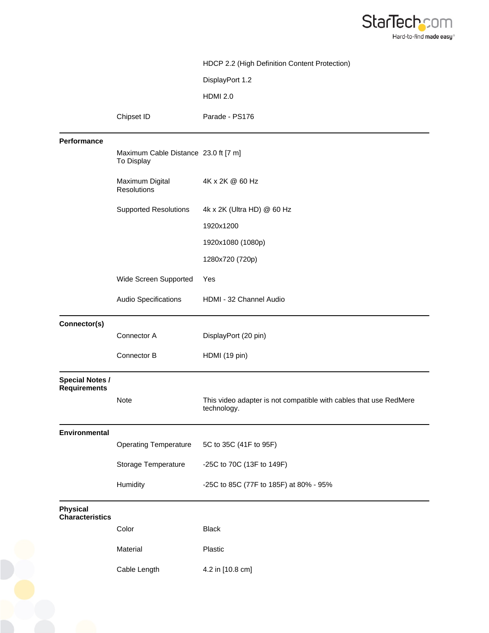

|                                               |                                                    | HDCP 2.2 (High Definition Content Protection)                                    |
|-----------------------------------------------|----------------------------------------------------|----------------------------------------------------------------------------------|
|                                               |                                                    | DisplayPort 1.2                                                                  |
|                                               |                                                    | <b>HDMI 2.0</b>                                                                  |
|                                               | Chipset ID                                         | Parade - PS176                                                                   |
| Performance                                   |                                                    |                                                                                  |
|                                               | Maximum Cable Distance 23.0 ft [7 m]<br>To Display |                                                                                  |
|                                               | Maximum Digital<br><b>Resolutions</b>              | 4K x 2K @ 60 Hz                                                                  |
|                                               | <b>Supported Resolutions</b>                       | 4k x 2K (Ultra HD) @ 60 Hz                                                       |
|                                               |                                                    | 1920x1200                                                                        |
|                                               |                                                    | 1920x1080 (1080p)                                                                |
|                                               |                                                    | 1280x720 (720p)                                                                  |
|                                               | Wide Screen Supported                              | Yes                                                                              |
|                                               | Audio Specifications                               | HDMI - 32 Channel Audio                                                          |
| Connector(s)                                  |                                                    |                                                                                  |
|                                               | Connector A                                        | DisplayPort (20 pin)                                                             |
|                                               | Connector B                                        | HDMI (19 pin)                                                                    |
| <b>Special Notes /</b><br><b>Requirements</b> |                                                    |                                                                                  |
|                                               | <b>Note</b>                                        | This video adapter is not compatible with cables that use RedMere<br>technology. |
| Environmental                                 |                                                    |                                                                                  |
|                                               | <b>Operating Temperature</b>                       | 5C to 35C (41F to 95F)                                                           |
|                                               | Storage Temperature                                | -25C to 70C (13F to 149F)                                                        |
|                                               | Humidity                                           | -25C to 85C (77F to 185F) at 80% - 95%                                           |
| <b>Physical</b><br><b>Characteristics</b>     |                                                    |                                                                                  |
|                                               | Color                                              | <b>Black</b>                                                                     |
|                                               | Material                                           | Plastic                                                                          |
|                                               | Cable Length                                       | 4.2 in [10.8 cm]                                                                 |